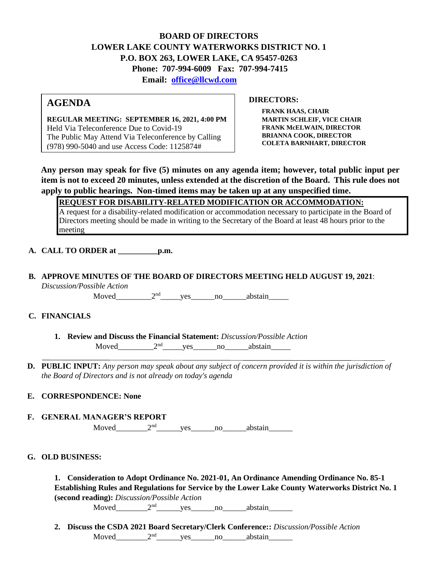## **BOARD OF DIRECTORS LOWER LAKE COUNTY WATERWORKS DISTRICT NO. 1 P.O. BOX 263, LOWER LAKE, CA 95457-0263 Phone: 707-994-6009 Fax: 707-994-7415 Email: office@llcwd.com**

# **AGENDA**

**REGULAR MEETING: SEPTEMBER 16, 2021, 4:00 PM**  Held Via Teleconference Due to Covid-19 The Public May Attend Via Teleconference by Calling (978) 990-5040 and use Access Code: 1125874#

**DIRECTORS:** 

**FRANK HAAS, CHAIR MARTIN SCHLEIF, VICE CHAIR FRANK McELWAIN, DIRECTOR BRIANNA COOK, DIRECTOR COLETA BARNHART, DIRECTOR**

**Any person may speak for five (5) minutes on any agenda item; however, total public input per item is not to exceed 20 minutes, unless extended at the discretion of the Board. This rule does not apply to public hearings. Non-timed items may be taken up at any unspecified time.** 

**REQUEST FOR DISABILITY-RELATED MODIFICATION OR ACCOMMODATION:**

A request for a disability-related modification or accommodation necessary to participate in the Board of Directors meeting should be made in writing to the Secretary of the Board at least 48 hours prior to the meeting

**A. CALL TO ORDER at \_\_\_\_\_\_\_\_\_\_p.m.** 

**B. APPROVE MINUTES OF THE BOARD OF DIRECTORS MEETING HELD AUGUST 19, 2021**: *Discussion/Possible Action*

Moved\_\_\_\_\_\_\_\_\_\_\_2<sup>nd</sup>\_\_\_\_\_\_yes\_\_\_\_\_\_\_no\_\_\_\_\_\_\_abstain\_\_\_\_\_\_

#### **C. FINANCIALS**

- **1. Review and Discuss the Financial Statement:** *Discussion/Possible Action* Moved  $2<sup>nd</sup>$  yes no abstain
- **D. PUBLIC INPUT:** *Any person may speak about any subject of concern provided it is within the jurisdiction of the Board of Directors and is not already on today's agenda*

## **E. CORRESPONDENCE: None**

**F. GENERAL MANAGER'S REPORT**

 $Moved$   $2<sup>nd</sup>$  yes no abstain

## **G. OLD BUSINESS:**

**1. Consideration to Adopt Ordinance No. 2021-01, An Ordinance Amending Ordinance No. 85-1 Establishing Rules and Regulations for Service by the Lower Lake County Waterworks District No. 1 (second reading):** *Discussion/Possible Action*

 $Moved$   $2<sup>nd</sup>$  yes no abstain

**2. Discuss the CSDA 2021 Board Secretary/Clerk Conference::** *Discussion/Possible Action* Moved  $2<sup>nd</sup>$  yes no abstain